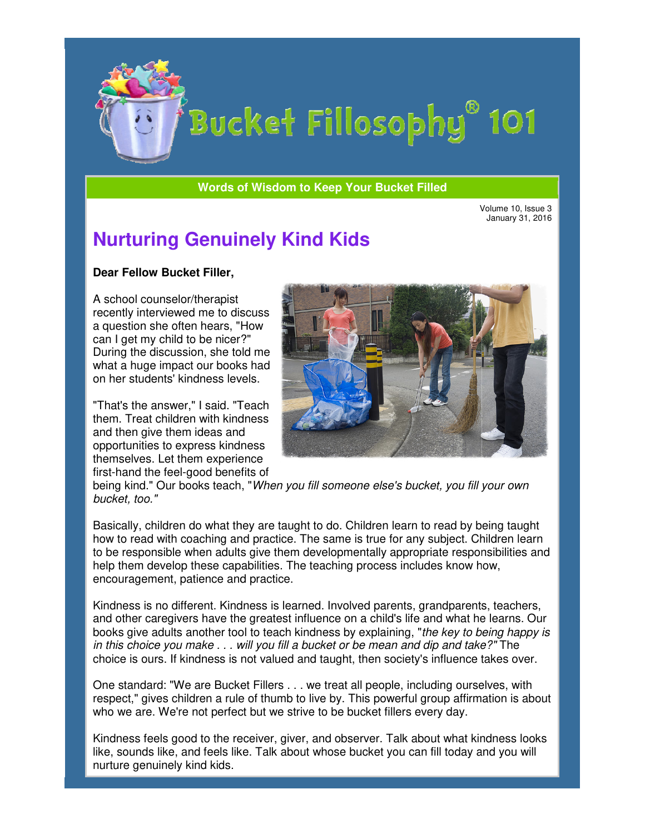

**Words of Wisdom to Keep Your Bucket Filled** 

Volume 10, Issue 3 January 31, 2016

## **Nurturing Genuinely Kind Kids**

## **Dear Fellow Bucket Filler,**

A school counselor/therapist recently interviewed me to discuss a question she often hears, "How can I get my child to be nicer?" During the discussion, she told me what a huge impact our books had on her students' kindness levels. recently interviewed me to discı<br>a question she often hears, "Ho<br>can I get my child to be nicer?"

"That's the answer," I said. "Teach them. Treat children with kindness and then give them ideas and opportunities to express kindness themselves. Let them experience first-hand the feel-good benefits of



being kind." Our books teach, "When you fill someone else's bucket, you fill bucket, too."

Basically, children do what they are taught to do. Children learn to read by being taught how to read with coaching and practice. The same is true for any subject. Children learn to be responsible when adults give them developm entally help them develop these capabilities. The teaching process includes know how, encouragement, patience and practice. ildren do what they are taught to do. Children learn to read by being taught<br>with coaching and practice. The same is true for any subject. Children learn<br>sible when adults give them developmentally appropriate responsibili

Kindness is no different. Kindness is learned. Involved parents, grandparents, teachers, and other caregivers have the greatest influence on a child's life and what he learns. Our encouragement, patience and practice.<br>Kindness is no different. Kindness is learned. Involved parents, grandparents, teachers,<br>and other caregivers have the greatest influence on a child's life and what he learns. Our<br>book in this choice you make . . . will you fill a bucket or be mean and dip and take?" The choice is ours. If kindness is not valued and taught, then society's influence takes over.

One standard: "We are Bucket Fillers . . . we treat all people, including ourselves, with One standard: "We are Bucket Fillers . . . we treat all people, including ourselves, with<br>respect," gives children a rule of thumb to live by. This powerful group affirmation is about who we are. We're not perfect but we strive to be bucket fillers every day. group affirmation<br>very day.

Kindness feels good to the receiver, giver, and observer. Talk about what kindness looks like, sounds like, and feels like. Talk about whose bucket you can fill today and you will nurture genuinely kind kids.